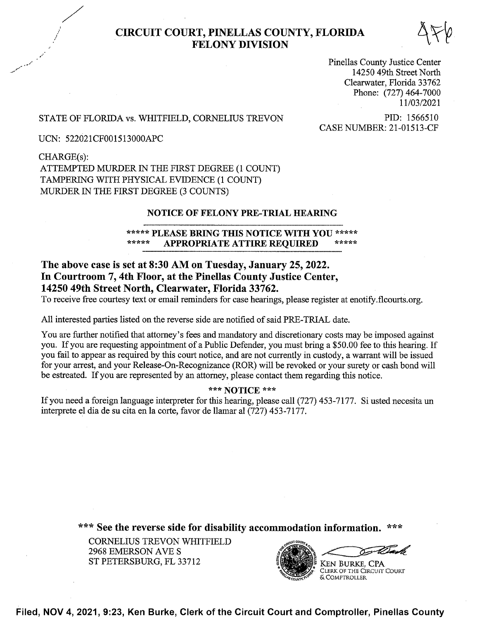# ,»" CIRCUIT COURT, PINELLAS COUNTY, FLORIDA FELONY DIVISION §ng

Pinellas County Justice Center 14250 49th Street North Clearwater, Florida 33762 Phone: (727) 464-7000 <sup>1</sup> 1/03/2021

# STATE OF FLORIDA vs. WHITFIELD, CORNELIUS TREVON PID: 1566510

CASE NUMBER: 21-01513-CF

UCN: 522021CF001513000APC

CHARGE(s): ATTEMPTED MURDER IN THE FIRST DEGREE (1 COUNT) TAMPERING WITH PHYSICAL EVIDENCE (1 COUNT) MURDER IN THE FIRST DEGREE (3 COUNTS)

# NOTICE OF FELONY PRE-TRIAL HEARING

# \*\*\*\*\* PLEASE BRING THIS NOTICE WITH YOU \*\*\*\*\*<br>\*\*\*\*\* APPROPRIATE ATTIRE REQUIRED \*\*\*\*\* APPROPRIATE ATTIRE REQUIRED

# The above case is set at 8:30 AM on Tuesday, January 25, 2022. In Courtroom 7, 4th Floor, at the Pinellas County Justice Center, 14250 49th Street North, Clearwater, Florida 33762.

T0 receive free courtesy text or email reminders for case hearings, please register at enotify.flcourts. org.

A11 interested parties listed on the reverse side are notified of said PRE-TRIAL date.

You are further notified that attorney's fees and mandatory and discretionary costs may be imposed against you. If you are requesting appointment of a Public Defender, you must bring a \$50.00 fee to this hearing. If you fail to appear as required by this court notice, and are not currently in custody, a warrant will be issued for your arrest, and your Release-On-Recognizance (ROR) will be revoked or your surety or cash bond will be estreated. If you are represented by an attorney, please contact them regarding this notice.

# \*\*\* NOTICE \*\*\*

If you need a foreign language interpreter for this hearing, please call (727) 453-7177. Si usted necesita un interprete el dia de su cita en la corte, favor de llamar al (727) 453-7177.

\*\*\* See the reverse side for disability accommodation information.

CORNELIUS TREVON WHITFIELD 2968 EMERSON AVE ST PETERSBURG, FL 33712



Filed, NOV 4, 2021, 9:23, Ken Burke, Clerk of the Circuit Court and Comptroller, Pinellas County